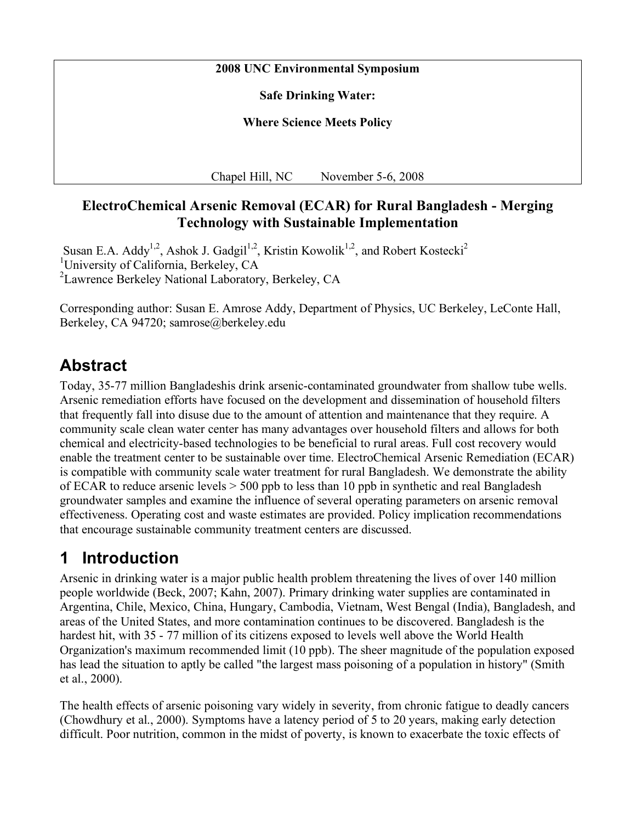#### **2008 UNC Environmental Symposium**

**Safe Drinking Water:**

**Where Science Meets Policy**

Chapel Hill, NC November 5-6, 2008

### **ElectroChemical Arsenic Removal (ECAR) for Rural Bangladesh - Merging Technology with Sustainable Implementation**

Susan E.A. Addy<sup>1,2</sup>, Ashok J. Gadgil<sup>1,2</sup>, Kristin Kowolik<sup>1,2</sup>, and Robert Kostecki<sup>2</sup> <sup>1</sup>University of California, Berkeley, CA <sup>2</sup> Lawrence Berkeley National Laboratory, Berkeley, CA

Corresponding author: Susan E. Amrose Addy, Department of Physics, UC Berkeley, LeConte Hall, Berkeley, CA 94720; samrose@berkeley.edu

## **Abstract**

Today, 35-77 million Bangladeshis drink arsenic-contaminated groundwater from shallow tube wells. Arsenic remediation efforts have focused on the development and dissemination of household filters that frequently fall into disuse due to the amount of attention and maintenance that they require. A community scale clean water center has many advantages over household filters and allows for both chemical and electricity-based technologies to be beneficial to rural areas. Full cost recovery would enable the treatment center to be sustainable over time. ElectroChemical Arsenic Remediation (ECAR) is compatible with community scale water treatment for rural Bangladesh. We demonstrate the ability of ECAR to reduce arsenic levels  $> 500$  ppb to less than 10 ppb in synthetic and real Bangladesh groundwater samples and examine the influence of several operating parameters on arsenic removal effectiveness. Operating cost and waste estimates are provided. Policy implication recommendations that encourage sustainable community treatment centers are discussed.

## **1 Introduction**

Arsenic in drinking water is a major public health problem threatening the lives of over 140 million people worldwide (Beck, 2007; Kahn, 2007). Primary drinking water supplies are contaminated in Argentina, Chile, Mexico, China, Hungary, Cambodia, Vietnam, West Bengal (India), Bangladesh, and areas of the United States, and more contamination continues to be discovered. Bangladesh is the hardest hit, with 35 - 77 million of its citizens exposed to levels well above the World Health Organization's maximum recommended limit (10 ppb). The sheer magnitude of the population exposed has lead the situation to aptly be called "the largest mass poisoning of a population in history" (Smith et al., 2000).

The health effects of arsenic poisoning vary widely in severity, from chronic fatigue to deadly cancers (Chowdhury et al., 2000). Symptoms have a latency period of 5 to 20 years, making early detection difficult. Poor nutrition, common in the midst of poverty, is known to exacerbate the toxic effects of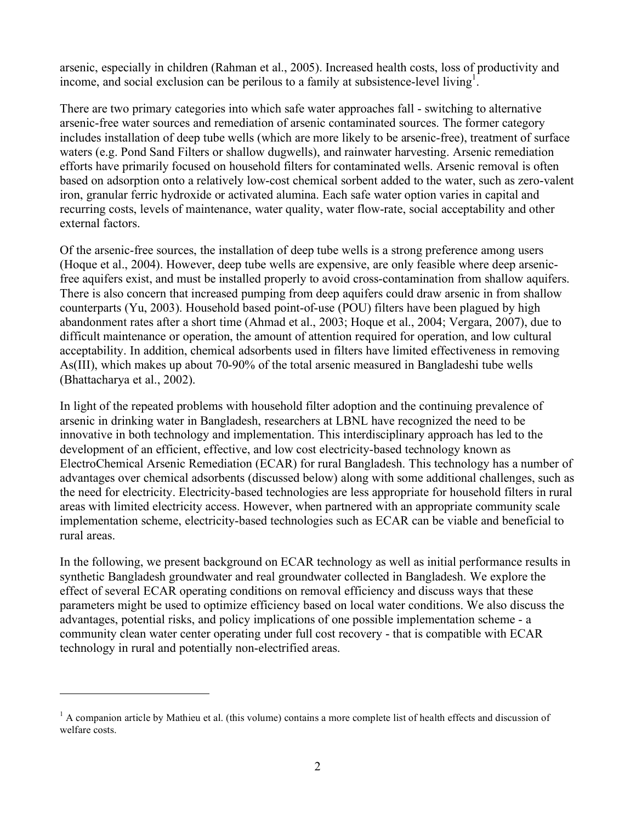arsenic, especially in children (Rahman et al., 2005). Increased health costs, loss of productivity and income, and social exclusion can be perilous to a family at subsistence-level living<sup>1</sup>.

There are two primary categories into which safe water approaches fall - switching to alternative arsenic-free water sources and remediation of arsenic contaminated sources. The former category includes installation of deep tube wells (which are more likely to be arsenic-free), treatment of surface waters (e.g. Pond Sand Filters or shallow dugwells), and rainwater harvesting. Arsenic remediation efforts have primarily focused on household filters for contaminated wells. Arsenic removal is often based on adsorption onto a relatively low-cost chemical sorbent added to the water, such as zero-valent iron, granular ferric hydroxide or activated alumina. Each safe water option varies in capital and recurring costs, levels of maintenance, water quality, water flow-rate, social acceptability and other external factors.

Of the arsenic-free sources, the installation of deep tube wells is a strong preference among users (Hoque et al., 2004). However, deep tube wells are expensive, are only feasible where deep arsenicfree aquifers exist, and must be installed properly to avoid cross-contamination from shallow aquifers. There is also concern that increased pumping from deep aquifers could draw arsenic in from shallow counterparts (Yu, 2003). Household based point-of-use (POU) filters have been plagued by high abandonment rates after a short time (Ahmad et al., 2003; Hoque et al., 2004; Vergara, 2007), due to difficult maintenance or operation, the amount of attention required for operation, and low cultural acceptability. In addition, chemical adsorbents used in filters have limited effectiveness in removing As(III), which makes up about 70-90% of the total arsenic measured in Bangladeshi tube wells (Bhattacharya et al., 2002).

In light of the repeated problems with household filter adoption and the continuing prevalence of arsenic in drinking water in Bangladesh, researchers at LBNL have recognized the need to be innovative in both technology and implementation. This interdisciplinary approach has led to the development of an efficient, effective, and low cost electricity-based technology known as ElectroChemical Arsenic Remediation (ECAR) for rural Bangladesh. This technology has a number of advantages over chemical adsorbents (discussed below) along with some additional challenges, such as the need for electricity. Electricity-based technologies are less appropriate for household filters in rural areas with limited electricity access. However, when partnered with an appropriate community scale implementation scheme, electricity-based technologies such as ECAR can be viable and beneficial to rural areas.

In the following, we present background on ECAR technology as well as initial performance results in synthetic Bangladesh groundwater and real groundwater collected in Bangladesh. We explore the effect of several ECAR operating conditions on removal efficiency and discuss ways that these parameters might be used to optimize efficiency based on local water conditions. We also discuss the advantages, potential risks, and policy implications of one possible implementation scheme - a community clean water center operating under full cost recovery - that is compatible with ECAR technology in rural and potentially non-electrified areas.

 $\overline{a}$ 

 $<sup>1</sup>$  A companion article by Mathieu et al. (this volume) contains a more complete list of health effects and discussion of</sup> welfare costs.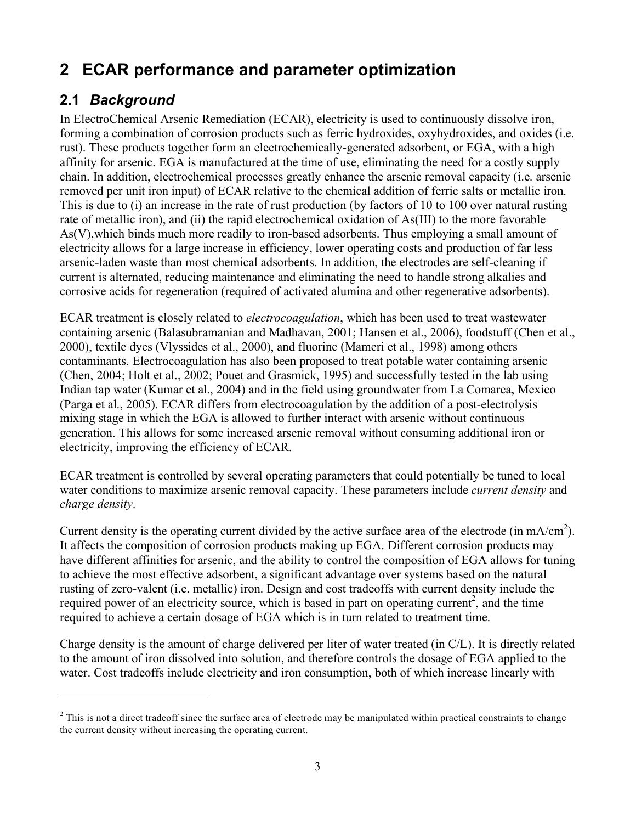# **2 ECAR performance and parameter optimization**

## **2.1** *Background*

 $\overline{a}$ 

In ElectroChemical Arsenic Remediation (ECAR), electricity is used to continuously dissolve iron, forming a combination of corrosion products such as ferric hydroxides, oxyhydroxides, and oxides (i.e. rust). These products together form an electrochemically-generated adsorbent, or EGA, with a high affinity for arsenic. EGA is manufactured at the time of use, eliminating the need for a costly supply chain. In addition, electrochemical processes greatly enhance the arsenic removal capacity (i.e. arsenic removed per unit iron input) of ECAR relative to the chemical addition of ferric salts or metallic iron. This is due to (i) an increase in the rate of rust production (by factors of 10 to 100 over natural rusting rate of metallic iron), and (ii) the rapid electrochemical oxidation of As(III) to the more favorable As(V),which binds much more readily to iron-based adsorbents. Thus employing a small amount of electricity allows for a large increase in efficiency, lower operating costs and production of far less arsenic-laden waste than most chemical adsorbents. In addition, the electrodes are self-cleaning if current is alternated, reducing maintenance and eliminating the need to handle strong alkalies and corrosive acids for regeneration (required of activated alumina and other regenerative adsorbents).

ECAR treatment is closely related to *electrocoagulation*, which has been used to treat wastewater containing arsenic (Balasubramanian and Madhavan, 2001; Hansen et al., 2006), foodstuff (Chen et al., 2000), textile dyes (Vlyssides et al., 2000), and fluorine (Mameri et al., 1998) among others contaminants. Electrocoagulation has also been proposed to treat potable water containing arsenic (Chen, 2004; Holt et al., 2002; Pouet and Grasmick, 1995) and successfully tested in the lab using Indian tap water (Kumar et al., 2004) and in the field using groundwater from La Comarca, Mexico (Parga et al., 2005). ECAR differs from electrocoagulation by the addition of a post-electrolysis mixing stage in which the EGA is allowed to further interact with arsenic without continuous generation. This allows for some increased arsenic removal without consuming additional iron or electricity, improving the efficiency of ECAR.

ECAR treatment is controlled by several operating parameters that could potentially be tuned to local water conditions to maximize arsenic removal capacity. These parameters include *current density* and *charge density*.

Current density is the operating current divided by the active surface area of the electrode (in mA/cm<sup>2</sup>). It affects the composition of corrosion products making up EGA. Different corrosion products may have different affinities for arsenic, and the ability to control the composition of EGA allows for tuning to achieve the most effective adsorbent, a significant advantage over systems based on the natural rusting of zero-valent (i.e. metallic) iron. Design and cost tradeoffs with current density include the required power of an electricity source, which is based in part on operating current<sup>2</sup>, and the time required to achieve a certain dosage of EGA which is in turn related to treatment time.

Charge density is the amount of charge delivered per liter of water treated (in C/L). It is directly related to the amount of iron dissolved into solution, and therefore controls the dosage of EGA applied to the water. Cost tradeoffs include electricity and iron consumption, both of which increase linearly with

 $2$  This is not a direct tradeoff since the surface area of electrode may be manipulated within practical constraints to change the current density without increasing the operating current.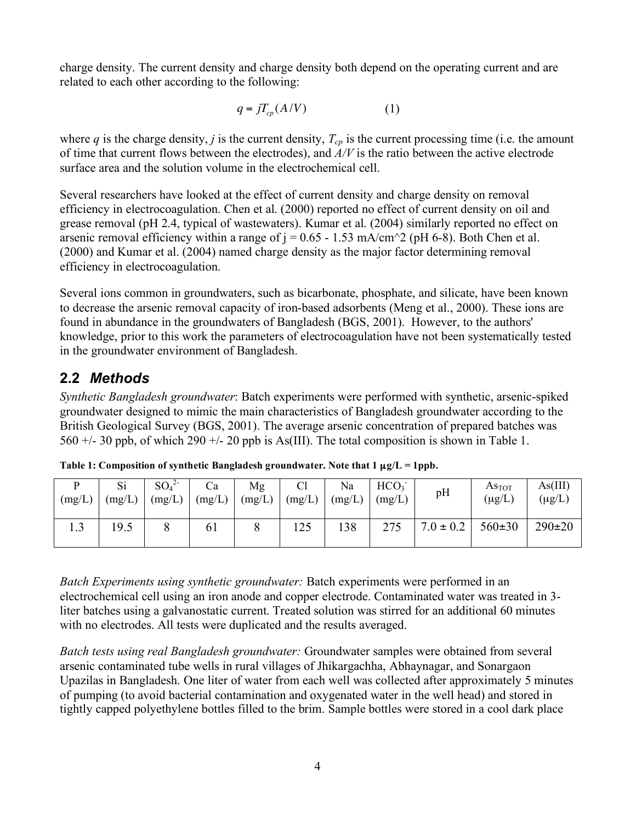charge density. The current density and charge density both depend on the operating current and are related to each other according to the following:

$$
q = jT_{cp}(A/V) \tag{1}
$$

surface area and the solution volume in the electrochemical cell. where  $q$  is the charge density,  $j$  is the current density,  $T_{cp}$  is the current processing time (i.e. the amount of time that current flows between the electrodes), and *A/V* is the ratio between the active electrode

Several researchers have looked at the effect of current density and charge density on removal efficiency in electrocoagulation. Chen et al. (2000) reported no effect of current density on oil and grease removal (pH 2.4, typical of wastewaters). Kumar et al. (2004) similarly reported no effect on arsenic removal efficiency within a range of  $j = 0.65 - 1.53$  mA/cm<sup> $\sim$ </sup>2 (pH 6-8). Both Chen et al. (2000) and Kumar et al. (2004) named charge density as the major factor determining removal efficiency in electrocoagulation.

Several ions common in groundwaters, such as bicarbonate, phosphate, and silicate, have been known to decrease the arsenic removal capacity of iron-based adsorbents (Meng et al., 2000). These ions are found in abundance in the groundwaters of Bangladesh (BGS, 2001). However, to the authors' knowledge, prior to this work the parameters of electrocoagulation have not been systematically tested in the groundwater environment of Bangladesh.

### **2.2** *Methods*

*Synthetic Bangladesh groundwater*: Batch experiments were performed with synthetic, arsenic-spiked groundwater designed to mimic the main characteristics of Bangladesh groundwater according to the British Geological Survey (BGS, 2001). The average arsenic concentration of prepared batches was 560  $+/-$  30 ppb, of which 290  $+/-$  20 ppb is As(III). The total composition is shown in Table 1.

| (mg/L) | Si<br>(mg/L) | $SO_4^2$<br>(mg/L) | Ċа<br>(mg/L) | Mg<br>(mg/L) | Cl<br>(mg/L) | Na<br>(mg/L) | HCO <sub>3</sub><br>(mg/L) | pH            | As <sub>TOT</sub><br>$(\mu\text{g}/\text{L})$ | As(III)<br>$(\mu g/L)$ |
|--------|--------------|--------------------|--------------|--------------|--------------|--------------|----------------------------|---------------|-----------------------------------------------|------------------------|
|        | 19.5         |                    | 61           |              | 25           | 138          | 275                        | $7.0 \pm 0.2$ | $560 \pm 30$                                  | $290 \pm 20$           |

**Table 1: Composition of synthetic Bangladesh groundwater. Note that**  $1 \mu g/L = 1$ **ppb.** 

*Batch Experiments using synthetic groundwater:* Batch experiments were performed in an electrochemical cell using an iron anode and copper electrode. Contaminated water was treated in 3 liter batches using a galvanostatic current. Treated solution was stirred for an additional 60 minutes with no electrodes. All tests were duplicated and the results averaged.

*Batch tests using real Bangladesh groundwater:* Groundwater samples were obtained from several arsenic contaminated tube wells in rural villages of Jhikargachha, Abhaynagar, and Sonargaon Upazilas in Bangladesh. One liter of water from each well was collected after approximately 5 minutes of pumping (to avoid bacterial contamination and oxygenated water in the well head) and stored in tightly capped polyethylene bottles filled to the brim. Sample bottles were stored in a cool dark place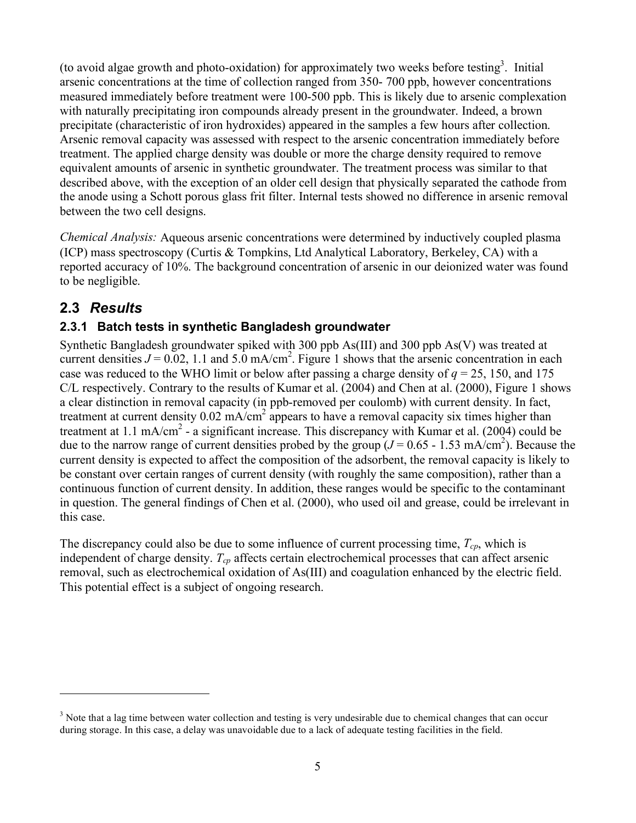(to avoid algae growth and photo-oxidation) for approximately two weeks before testing<sup>3</sup>. Initial arsenic concentrations at the time of collection ranged from 350- 700 ppb, however concentrations measured immediately before treatment were 100-500 ppb. This is likely due to arsenic complexation with naturally precipitating iron compounds already present in the groundwater. Indeed, a brown precipitate (characteristic of iron hydroxides) appeared in the samples a few hours after collection. Arsenic removal capacity was assessed with respect to the arsenic concentration immediately before treatment. The applied charge density was double or more the charge density required to remove equivalent amounts of arsenic in synthetic groundwater. The treatment process was similar to that described above, with the exception of an older cell design that physically separated the cathode from the anode using a Schott porous glass frit filter. Internal tests showed no difference in arsenic removal between the two cell designs.

*Chemical Analysis:* Aqueous arsenic concentrations were determined by inductively coupled plasma (ICP) mass spectroscopy (Curtis & Tompkins, Ltd Analytical Laboratory, Berkeley, CA) with a reported accuracy of 10%. The background concentration of arsenic in our deionized water was found to be negligible.

### **2.3** *Results*

 $\overline{a}$ 

### **2.3.1 Batch tests in synthetic Bangladesh groundwater**

Synthetic Bangladesh groundwater spiked with 300 ppb As(III) and 300 ppb As(V) was treated at current densities  $J = 0.02$ , 1.1 and 5.0 mA/cm<sup>2</sup>. Figure 1 shows that the arsenic concentration in each case was reduced to the WHO limit or below after passing a charge density of *q* = 25, 150, and 175 C/L respectively. Contrary to the results of Kumar et al. (2004) and Chen at al. (2000), Figure 1 shows a clear distinction in removal capacity (in ppb-removed per coulomb) with current density. In fact, treatment at current density  $0.02 \text{ mA/cm}^2$  appears to have a removal capacity six times higher than treatment at 1.1 mA/cm<sup>2</sup> - a significant increase. This discrepancy with Kumar et al. (2004) could be due to the narrow range of current densities probed by the group  $(J = 0.65 - 1.53 \text{ mA/cm}^2)$ . Because the current density is expected to affect the composition of the adsorbent, the removal capacity is likely to be constant over certain ranges of current density (with roughly the same composition), rather than a continuous function of current density. In addition, these ranges would be specific to the contaminant in question. The general findings of Chen et al. (2000), who used oil and grease, could be irrelevant in this case.

The discrepancy could also be due to some influence of current processing time,  $T_{cn}$ , which is independent of charge density.  $T_{cp}$  affects certain electrochemical processes that can affect arsenic removal, such as electrochemical oxidation of As(III) and coagulation enhanced by the electric field. This potential effect is a subject of ongoing research.

 $3$  Note that a lag time between water collection and testing is very undesirable due to chemical changes that can occur during storage. In this case, a delay was unavoidable due to a lack of adequate testing facilities in the field.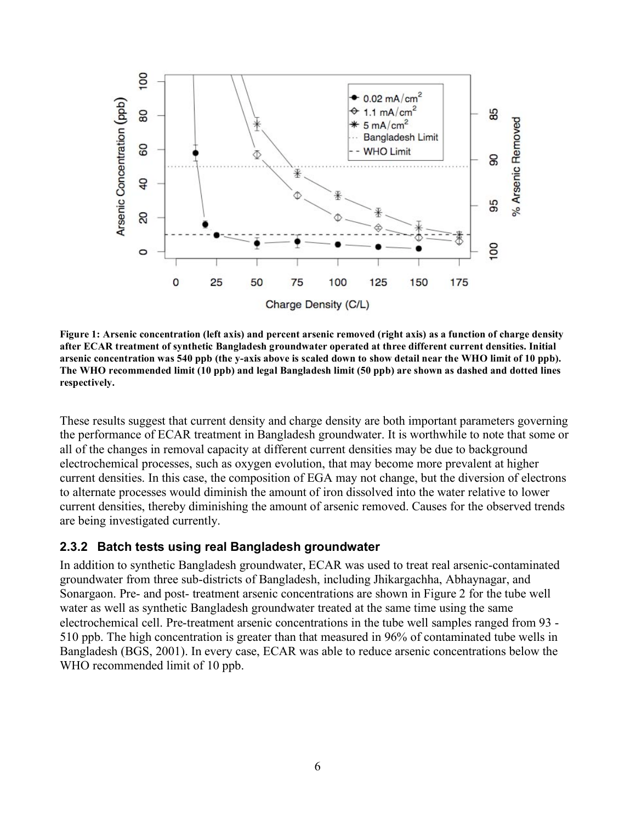

**Figure 1: Arsenic concentration (left axis) and percent arsenic removed (right axis) as a function of charge density after ECAR treatment of synthetic Bangladesh groundwater operated at three different current densities. Initial arsenic concentration was 540 ppb (the y-axis above is scaled down to show detail near the WHO limit of 10 ppb). The WHO recommended limit (10 ppb) and legal Bangladesh limit (50 ppb) are shown as dashed and dotted lines respectively.**

These results suggest that current density and charge density are both important parameters governing the performance of ECAR treatment in Bangladesh groundwater. It is worthwhile to note that some or all of the changes in removal capacity at different current densities may be due to background electrochemical processes, such as oxygen evolution, that may become more prevalent at higher current densities. In this case, the composition of EGA may not change, but the diversion of electrons to alternate processes would diminish the amount of iron dissolved into the water relative to lower current densities, thereby diminishing the amount of arsenic removed. Causes for the observed trends are being investigated currently.

#### **2.3.2 Batch tests using real Bangladesh groundwater**

In addition to synthetic Bangladesh groundwater, ECAR was used to treat real arsenic-contaminated groundwater from three sub-districts of Bangladesh, including Jhikargachha, Abhaynagar, and Sonargaon. Pre- and post- treatment arsenic concentrations are shown in Figure 2 for the tube well water as well as synthetic Bangladesh groundwater treated at the same time using the same electrochemical cell. Pre-treatment arsenic concentrations in the tube well samples ranged from 93 - 510 ppb. The high concentration is greater than that measured in 96% of contaminated tube wells in Bangladesh (BGS, 2001). In every case, ECAR was able to reduce arsenic concentrations below the WHO recommended limit of 10 ppb.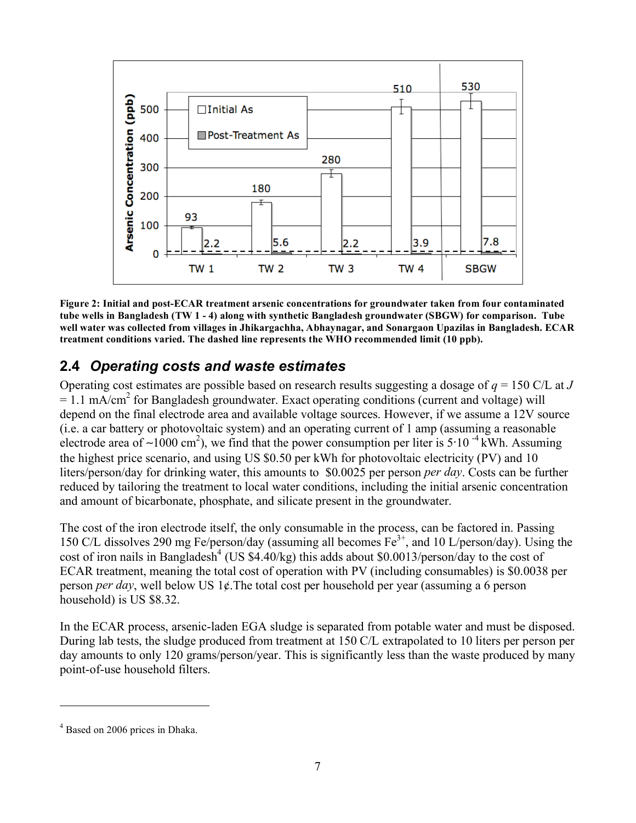

**Figure 2: Initial and post-ECAR treatment arsenic concentrations for groundwater taken from four contaminated tube wells in Bangladesh (TW 1 - 4) along with synthetic Bangladesh groundwater (SBGW) for comparison. Tube well water was collected from villages in Jhikargachha, Abhaynagar, and Sonargaon Upazilas in Bangladesh. ECAR treatment conditions varied. The dashed line represents the WHO recommended limit (10 ppb).** 

### **2.4** *Operating costs and waste estimates*

Operating cost estimates are possible based on research results suggesting a dosage of *q* = 150 C/L at *J*  $= 1.1 \text{ mA/cm}^2$  for Bangladesh groundwater. Exact operating conditions (current and voltage) will depend on the final electrode area and available voltage sources. However, if we assume a 12V source (i.e. a car battery or photovoltaic system) and an operating current of 1 amp (assuming a reasonable electrode area of ~1000 cm<sup>2</sup>), we find that the power consumption per liter is 5⋅10<sup>-4</sup> kWh. Assuming the highest price scenario, and using US \$0.50 per kWh for photovoltaic electricity (PV) and 10 liters/person/day for drinking water, this amounts to \$0.0025 per person *per day*. Costs can be further reduced by tailoring the treatment to local water conditions, including the initial arsenic concentration and amount of bicarbonate, phosphate, and silicate present in the groundwater.

The cost of the iron electrode itself, the only consumable in the process, can be factored in. Passing 150 C/L dissolves 290 mg Fe/person/day (assuming all becomes  $Fe^{3+}$ , and 10 L/person/day). Using the cost of iron nails in Bangladesh<sup>4</sup> (US \$4.40/kg) this adds about \$0.0013/person/day to the cost of ECAR treatment, meaning the total cost of operation with PV (including consumables) is \$0.0038 per person *per day*, well below US 1¢.The total cost per household per year (assuming a 6 person household) is US \$8.32.

In the ECAR process, arsenic-laden EGA sludge is separated from potable water and must be disposed. During lab tests, the sludge produced from treatment at 150 C/L extrapolated to 10 liters per person per day amounts to only 120 grams/person/year. This is significantly less than the waste produced by many point-of-use household filters.

 $\overline{a}$ 

<sup>&</sup>lt;sup>4</sup> Based on 2006 prices in Dhaka.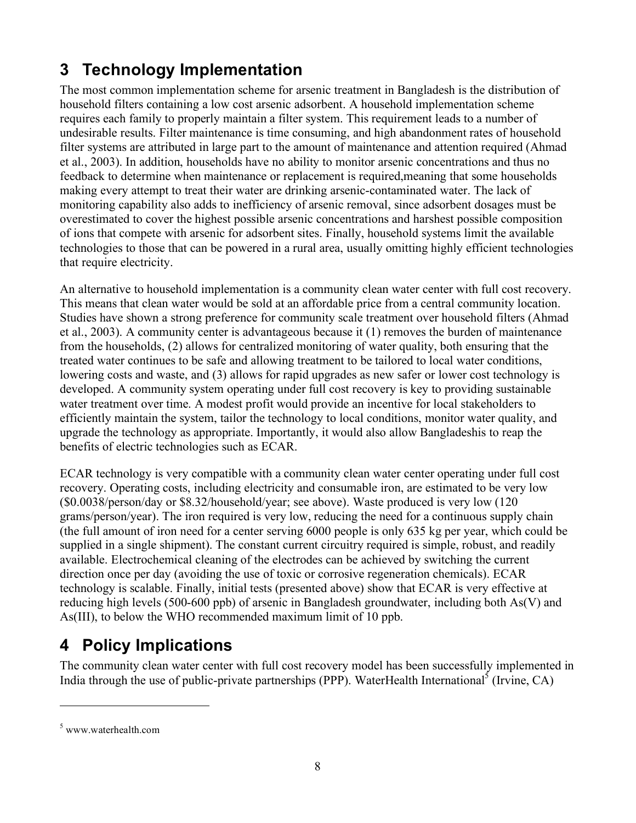# **3 Technology Implementation**

The most common implementation scheme for arsenic treatment in Bangladesh is the distribution of household filters containing a low cost arsenic adsorbent. A household implementation scheme requires each family to properly maintain a filter system. This requirement leads to a number of undesirable results. Filter maintenance is time consuming, and high abandonment rates of household filter systems are attributed in large part to the amount of maintenance and attention required (Ahmad et al., 2003). In addition, households have no ability to monitor arsenic concentrations and thus no feedback to determine when maintenance or replacement is required,meaning that some households making every attempt to treat their water are drinking arsenic-contaminated water. The lack of monitoring capability also adds to inefficiency of arsenic removal, since adsorbent dosages must be overestimated to cover the highest possible arsenic concentrations and harshest possible composition of ions that compete with arsenic for adsorbent sites. Finally, household systems limit the available technologies to those that can be powered in a rural area, usually omitting highly efficient technologies that require electricity.

An alternative to household implementation is a community clean water center with full cost recovery. This means that clean water would be sold at an affordable price from a central community location. Studies have shown a strong preference for community scale treatment over household filters (Ahmad et al., 2003). A community center is advantageous because it (1) removes the burden of maintenance from the households, (2) allows for centralized monitoring of water quality, both ensuring that the treated water continues to be safe and allowing treatment to be tailored to local water conditions, lowering costs and waste, and (3) allows for rapid upgrades as new safer or lower cost technology is developed. A community system operating under full cost recovery is key to providing sustainable water treatment over time. A modest profit would provide an incentive for local stakeholders to efficiently maintain the system, tailor the technology to local conditions, monitor water quality, and upgrade the technology as appropriate. Importantly, it would also allow Bangladeshis to reap the benefits of electric technologies such as ECAR.

ECAR technology is very compatible with a community clean water center operating under full cost recovery. Operating costs, including electricity and consumable iron, are estimated to be very low (\$0.0038/person/day or \$8.32/household/year; see above). Waste produced is very low (120 grams/person/year). The iron required is very low, reducing the need for a continuous supply chain (the full amount of iron need for a center serving 6000 people is only 635 kg per year, which could be supplied in a single shipment). The constant current circuitry required is simple, robust, and readily available. Electrochemical cleaning of the electrodes can be achieved by switching the current direction once per day (avoiding the use of toxic or corrosive regeneration chemicals). ECAR technology is scalable. Finally, initial tests (presented above) show that ECAR is very effective at reducing high levels (500-600 ppb) of arsenic in Bangladesh groundwater, including both As(V) and As(III), to below the WHO recommended maximum limit of 10 ppb.

# **4 Policy Implications**

The community clean water center with full cost recovery model has been successfully implemented in India through the use of public-private partnerships (PPP). WaterHealth International<sup>5</sup> (Irvine, CA)

 $\overline{a}$ 

<sup>5</sup> www.waterhealth.com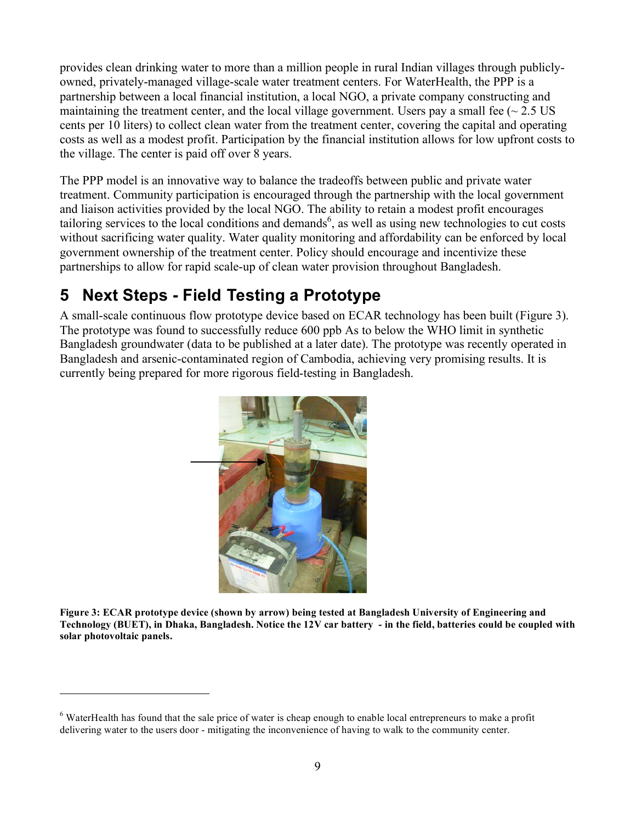provides clean drinking water to more than a million people in rural Indian villages through publiclyowned, privately-managed village-scale water treatment centers. For WaterHealth, the PPP is a partnership between a local financial institution, a local NGO, a private company constructing and maintaining the treatment center, and the local village government. Users pay a small fee ( $\sim$  2.5 US cents per 10 liters) to collect clean water from the treatment center, covering the capital and operating costs as well as a modest profit. Participation by the financial institution allows for low upfront costs to the village. The center is paid off over 8 years.

The PPP model is an innovative way to balance the tradeoffs between public and private water treatment. Community participation is encouraged through the partnership with the local government and liaison activities provided by the local NGO. The ability to retain a modest profit encourages tailoring services to the local conditions and demands<sup>6</sup>, as well as using new technologies to cut costs without sacrificing water quality. Water quality monitoring and affordability can be enforced by local government ownership of the treatment center. Policy should encourage and incentivize these partnerships to allow for rapid scale-up of clean water provision throughout Bangladesh.

## **5 Next Steps - Field Testing a Prototype**

 $\overline{a}$ 

A small-scale continuous flow prototype device based on ECAR technology has been built (Figure 3). The prototype was found to successfully reduce 600 ppb As to below the WHO limit in synthetic Bangladesh groundwater (data to be published at a later date). The prototype was recently operated in Bangladesh and arsenic-contaminated region of Cambodia, achieving very promising results. It is currently being prepared for more rigorous field-testing in Bangladesh.



**Figure 3: ECAR prototype device (shown by arrow) being tested at Bangladesh University of Engineering and Technology (BUET), in Dhaka, Bangladesh. Notice the 12V car battery - in the field, batteries could be coupled with solar photovoltaic panels.** 

 $6$  WaterHealth has found that the sale price of water is cheap enough to enable local entrepreneurs to make a profit delivering water to the users door - mitigating the inconvenience of having to walk to the community center.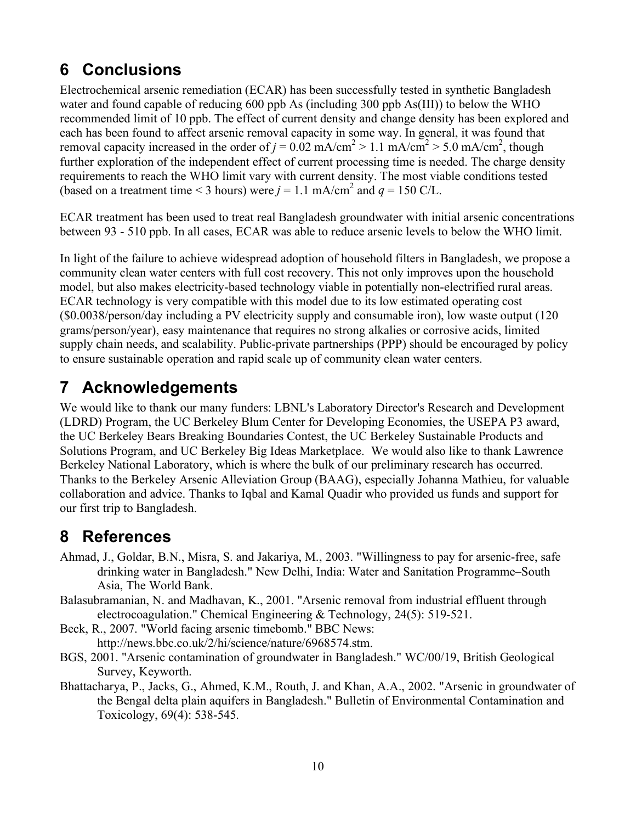# **6 Conclusions**

Electrochemical arsenic remediation (ECAR) has been successfully tested in synthetic Bangladesh water and found capable of reducing 600 ppb As (including 300 ppb As(III)) to below the WHO recommended limit of 10 ppb. The effect of current density and change density has been explored and each has been found to affect arsenic removal capacity in some way. In general, it was found that removal capacity increased in the order of  $j = 0.02$  mA/cm<sup>2</sup> > 1.1 mA/cm<sup>2</sup> > 5.0 mA/cm<sup>2</sup>, though further exploration of the independent effect of current processing time is needed. The charge density requirements to reach the WHO limit vary with current density. The most viable conditions tested (based on a treatment time < 3 hours) were  $j = 1.1$  mA/cm<sup>2</sup> and  $q = 150$  C/L.

ECAR treatment has been used to treat real Bangladesh groundwater with initial arsenic concentrations between 93 - 510 ppb. In all cases, ECAR was able to reduce arsenic levels to below the WHO limit.

In light of the failure to achieve widespread adoption of household filters in Bangladesh, we propose a community clean water centers with full cost recovery. This not only improves upon the household model, but also makes electricity-based technology viable in potentially non-electrified rural areas. ECAR technology is very compatible with this model due to its low estimated operating cost (\$0.0038/person/day including a PV electricity supply and consumable iron), low waste output (120 grams/person/year), easy maintenance that requires no strong alkalies or corrosive acids, limited supply chain needs, and scalability. Public-private partnerships (PPP) should be encouraged by policy to ensure sustainable operation and rapid scale up of community clean water centers.

## **7 Acknowledgements**

We would like to thank our many funders: LBNL's Laboratory Director's Research and Development (LDRD) Program, the UC Berkeley Blum Center for Developing Economies, the USEPA P3 award, the UC Berkeley Bears Breaking Boundaries Contest, the UC Berkeley Sustainable Products and Solutions Program, and UC Berkeley Big Ideas Marketplace. We would also like to thank Lawrence Berkeley National Laboratory, which is where the bulk of our preliminary research has occurred. Thanks to the Berkeley Arsenic Alleviation Group (BAAG), especially Johanna Mathieu, for valuable collaboration and advice. Thanks to Iqbal and Kamal Quadir who provided us funds and support for our first trip to Bangladesh.

## **8 References**

- Ahmad, J., Goldar, B.N., Misra, S. and Jakariya, M., 2003. "Willingness to pay for arsenic-free, safe drinking water in Bangladesh." New Delhi, India: Water and Sanitation Programme–South Asia, The World Bank.
- Balasubramanian, N. and Madhavan, K., 2001. "Arsenic removal from industrial effluent through electrocoagulation." Chemical Engineering & Technology, 24(5): 519-521.
- Beck, R., 2007. "World facing arsenic timebomb." BBC News: http://news.bbc.co.uk/2/hi/science/nature/6968574.stm.
- BGS, 2001. "Arsenic contamination of groundwater in Bangladesh." WC/00/19, British Geological Survey, Keyworth.
- Bhattacharya, P., Jacks, G., Ahmed, K.M., Routh, J. and Khan, A.A., 2002. "Arsenic in groundwater of the Bengal delta plain aquifers in Bangladesh." Bulletin of Environmental Contamination and Toxicology, 69(4): 538-545.